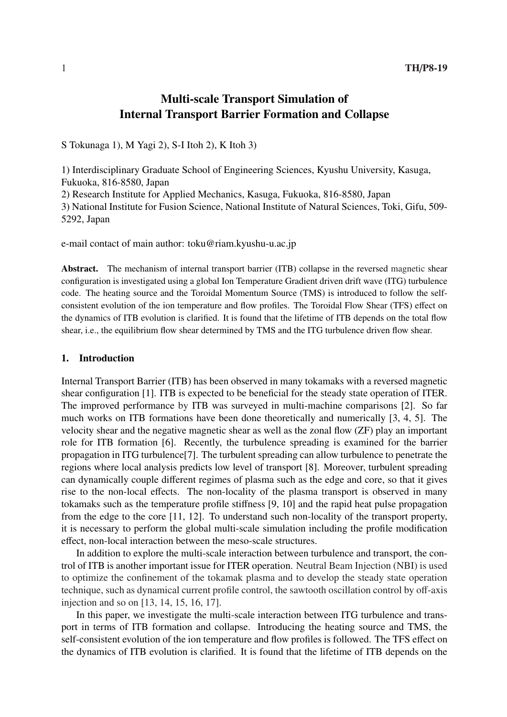# Multi-scale Transport Simulation of Internal Transport Barrier Formation and Collapse

S Tokunaga 1), M Yagi 2), S-I Itoh 2), K Itoh 3)

1) Interdisciplinary Graduate School of Engineering Sciences, Kyushu University, Kasuga, Fukuoka, 816-8580, Japan

2) Research Institute for Applied Mechanics, Kasuga, Fukuoka, 816-8580, Japan

3) National Institute for Fusion Science, National Institute of Natural Sciences, Toki, Gifu, 509- 5292, Japan

e-mail contact of main author: toku@riam.kyushu-u.ac.jp

Abstract. The mechanism of internal transport barrier (ITB) collapse in the reversed magnetic shear configuration is investigated using a global Ion Temperature Gradient driven drift wave (ITG) turbulence code. The heating source and the Toroidal Momentum Source (TMS) is introduced to follow the selfconsistent evolution of the ion temperature and flow profiles. The Toroidal Flow Shear (TFS) effect on the dynamics of ITB evolution is clarified. It is found that the lifetime of ITB depends on the total flow shear, i.e., the equilibrium flow shear determined by TMS and the ITG turbulence driven flow shear.

## 1. Introduction

Internal Transport Barrier (ITB) has been observed in many tokamaks with a reversed magnetic shear configuration [1]. ITB is expected to be beneficial for the steady state operation of ITER. The improved performance by ITB was surveyed in multi-machine comparisons [2]. So far much works on ITB formations have been done theoretically and numerically [3, 4, 5]. The velocity shear and the negative magnetic shear as well as the zonal flow (ZF) play an important role for ITB formation [6]. Recently, the turbulence spreading is examined for the barrier propagation in ITG turbulence[7]. The turbulent spreading can allow turbulence to penetrate the regions where local analysis predicts low level of transport [8]. Moreover, turbulent spreading can dynamically couple different regimes of plasma such as the edge and core, so that it gives rise to the non-local effects. The non-locality of the plasma transport is observed in many tokamaks such as the temperature profile stiffness [9, 10] and the rapid heat pulse propagation from the edge to the core [11, 12]. To understand such non-locality of the transport property, it is necessary to perform the global multi-scale simulation including the profile modification effect, non-local interaction between the meso-scale structures.

In addition to explore the multi-scale interaction between turbulence and transport, the control of ITB is another important issue for ITER operation. Neutral Beam Injection (NBI) is used to optimize the confinement of the tokamak plasma and to develop the steady state operation technique, such as dynamical current profile control, the sawtooth oscillation control by off-axis injection and so on [13, 14, 15, 16, 17].

In this paper, we investigate the multi-scale interaction between ITG turbulence and transport in terms of ITB formation and collapse. Introducing the heating source and TMS, the self-consistent evolution of the ion temperature and flow profiles is followed. The TFS effect on the dynamics of ITB evolution is clarified. It is found that the lifetime of ITB depends on the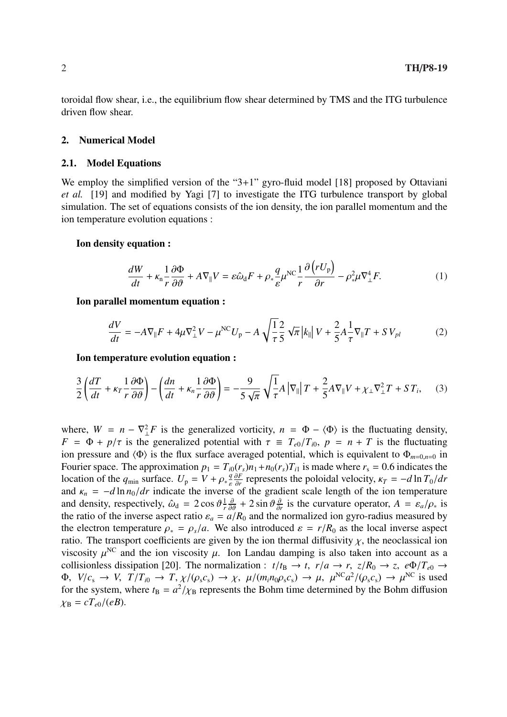toroidal flow shear, i.e., the equilibrium flow shear determined by TMS and the ITG turbulence driven flow shear.

#### 2. Numerical Model

## 2.1. Model Equations

We employ the simplified version of the "3+1" gyro-fluid model [18] proposed by Ottaviani *et al.* [19] and modified by Yagi [7] to investigate the ITG turbulence transport by global simulation. The set of equations consists of the ion density, the ion parallel momentum and the ion temperature evolution equations :

#### Ion density equation :

$$
\frac{dW}{dt} + \kappa_n \frac{1}{r} \frac{\partial \Phi}{\partial \theta} + A \nabla_{\parallel} V = \varepsilon \hat{\omega}_d F + \rho_* \frac{q}{\varepsilon} \mu^{\text{NC}} \frac{1}{r} \frac{\partial (rU_p)}{\partial r} - \rho_*^2 \mu \nabla_{\perp}^4 F. \tag{1}
$$

#### Ion parallel momentum equation :

$$
\frac{dV}{dt} = -A\nabla_{\parallel}F + 4\mu \nabla_{\perp}^{2} V - \mu^{\text{NC}} U_{\text{p}} - A \sqrt{\frac{1}{\tau}} \frac{2}{5} \sqrt{\pi} |k_{\parallel}| V + \frac{2}{5} A \frac{1}{\tau} \nabla_{\parallel}T + S V_{\text{pl}} \tag{2}
$$

Ion temperature evolution equation :

$$
\frac{3}{2}\left(\frac{dT}{dt} + \kappa_T \frac{1}{r}\frac{\partial \Phi}{\partial \vartheta}\right) - \left(\frac{dn}{dt} + \kappa_n \frac{1}{r}\frac{\partial \Phi}{\partial \vartheta}\right) = -\frac{9}{5\sqrt{\pi}}\sqrt{\frac{1}{\tau}}A\left|\nabla_{\parallel}\right|T + \frac{2}{5}A\nabla_{\parallel}V + \chi_{\perp}\nabla_{\perp}^2T + ST_i,\tag{3}
$$

where,  $W = n - \nabla^2 \cdot F$  is the generalized vorticity,  $n = \Phi - \langle \Phi \rangle$  is the fluctuating density, *F* =  $\Phi$  + *p*/ $\tau$  is the generalized potential with  $\tau \equiv T_{e0}/T_{i0}$ ,  $p = n + T$  is the fluctuating ion pressure and  $\langle \Phi \rangle$  is the flux surface averaged potential, which is equivalent to  $\Phi_{m=0,n=0}$  in Fourier space. The approximation  $p_1 = T_{i0}(r_s)n_1 + n_0(r_s)T_{i1}$  is made where  $r_s = 0.6$  indicates the location of the  $q_{\text{min}}$  surface.  $U_p = V + \rho_* \frac{q}{\varepsilon}$ ε ∂*F*  $\frac{\partial F}{\partial r}$  represents the poloidal velocity,  $\kappa_T = -d \ln T_0/dr$ and  $\kappa_n = -d \ln n_0/dr$  indicate the inverse of the gradient scale length of the ion temperature and density, respectively,  $\hat{\omega}_d = 2 \cos \vartheta \frac{1}{r}$ *r*  $\frac{\partial}{\partial \vartheta} + 2 \sin \vartheta \frac{\partial}{\partial \vartheta}$  $\frac{\partial}{\partial r}$  is the curvature operator,  $A = \varepsilon_a/\rho_*$  is the ratio of the inverse aspect ratio  $\varepsilon_a = a/R_0$  and the normalized ion gyro-radius measured by the electron temperature  $\rho_* = \rho_s/a$ . We also introduced  $\varepsilon = r/R_0$  as the local inverse aspect ratio. The transport coefficients are given by the ion thermal diffusivity  $\chi$ , the neoclassical ion viscosity  $\mu^{NC}$  and the ion viscosity  $\mu$ . Ion Landau damping is also taken into account as a collisionless dissipation [20]. The normalization :  $t/t_B \to t$ ,  $r/a \to r$ ,  $z/R_0 \to z$ ,  $e\Phi/T_{e0} \to$  $\Phi$ ,  $V/c_s \to V$ ,  $T/T_{i0} \to T$ ,  $\chi/(\rho_s c_s) \to \chi$ ,  $\mu/(m_i n_0 \rho_s c_s) \to \mu$ ,  $\mu^{NC} a^2/(\rho_s c_s) \to \mu^{NC}$  is used for the system, where  $t_B = a^2 / \chi_B$  represents the Bohm time determined by the Bohm diffusion  $\chi_{\rm B} = cT_{e0}/(eB).$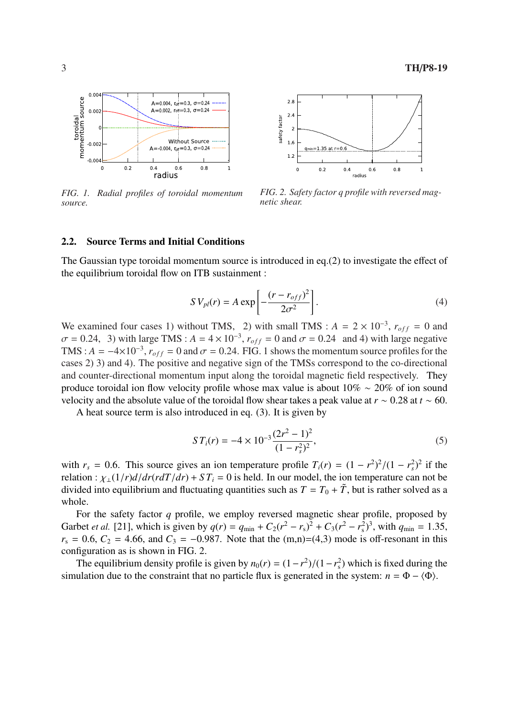

*FIG. 1. Radial profiles of toroidal momentum source.*



*FIG. 2. Safety factor q profile with reversed magnetic shear.*

### 2.2. Source Terms and Initial Conditions

The Gaussian type toroidal momentum source is introduced in eq.(2) to investigate the effect of the equilibrium toroidal flow on ITB sustainment :

$$
SV_{pl}(r) = A \exp \left[ -\frac{(r - r_{off})^2}{2\sigma^2} \right].
$$
 (4)

We examined four cases 1) without TMS, 2) with small TMS :  $A = 2 \times 10^{-3}$ ,  $r_{off} = 0$  and  $\sigma = 0.24$ , 3) with large TMS :  $A = 4 \times 10^{-3}$ ,  $r_{off} = 0$  and  $\sigma = 0.24$  and 4) with large negative TMS :  $A = -4 \times 10^{-3}$ ,  $r_{off} = 0$  and  $\sigma = 0.24$ . FIG. 1 shows the momentum source profiles for the cases 2) 3) and 4). The positive and negative sign of the TMSs correspond to the co-directional and counter-directional momentum input along the toroidal magnetic field respectively. They produce toroidal ion flow velocity profile whose max value is about 10% ∼ 20% of ion sound velocity and the absolute value of the toroidal flow shear takes a peak value at *r* ∼ 0.28 at *t* ∼ 60.

A heat source term is also introduced in eq. (3). It is given by

$$
ST_i(r) = -4 \times 10^{-3} \frac{(2r^2 - 1)^2}{(1 - r_s^2)^2},\tag{5}
$$

with  $r_s = 0.6$ . This source gives an ion temperature profile  $T_i(r) = (1 - r^2)^2/(1 - r_s^2)^2$  if the relation :  $\chi_{\perp}(1/r) d/dr (r dT/dr) + ST_i = 0$  is held. In our model, the ion temperature can not be divided into equilibrium and fluctuating quantities such as  $T = T_0 + \tilde{T}$ , but is rather solved as a whole.

For the safety factor *q* profile, we employ reversed magnetic shear profile, proposed by Garbet *et al.* [21], which is given by  $q(r) = q_{min} + C_2(r^2 - r_s)^2 + C_3(r^2 - r_s^2)^3$ , with  $q_{min} = 1.35$ ,  $r_s = 0.6$ ,  $C_2 = 4.66$ , and  $C_3 = -0.987$ . Note that the  $(m,n)=(4,3)$  mode is off-resonant in this configuration as is shown in FIG. 2.

The equilibrium density profile is given by  $n_0(r) = (1 - r^2)/(1 - r_s^2)$  which is fixed during the simulation due to the constraint that no particle flux is generated in the system:  $n = \Phi - \langle \Phi \rangle$ .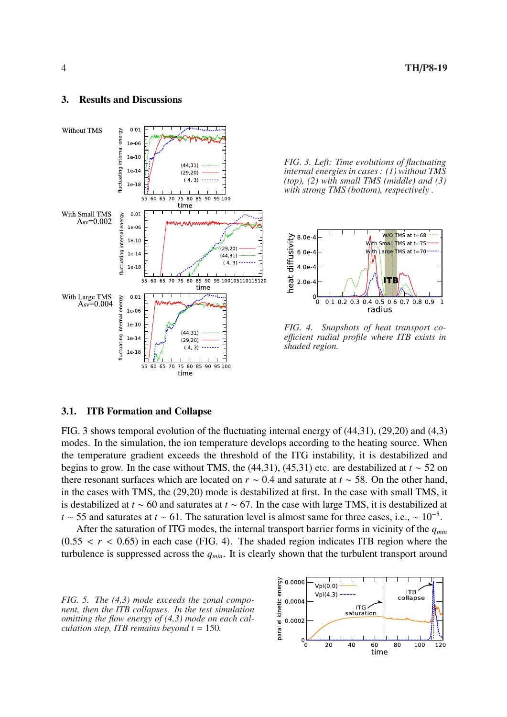## 3. Results and Discussions



*FIG. 3. Left: Time evolutions of fluctuating internal energies in cases : (1) without TMS (top), (2) with small TMS (middle) and (3) with strong TMS (bottom), respectively .*



*FIG. 4. Snapshots of heat transport coe*ffi*cient radial profile where ITB exists in shaded region.*

### 3.1. ITB Formation and Collapse

FIG. 3 shows temporal evolution of the fluctuating internal energy of (44,31), (29,20) and (4,3) modes. In the simulation, the ion temperature develops according to the heating source. When the temperature gradient exceeds the threshold of the ITG instability, it is destabilized and begins to grow. In the case without TMS, the  $(44,31)$ ,  $(45,31)$  etc. are destabilized at  $t \sim 52$  on there resonant surfaces which are located on *r* ∼ 0.4 and saturate at *t* ∼ 58. On the other hand, in the cases with TMS, the (29,20) mode is destabilized at first. In the case with small TMS, it is destabilized at *t* ∼ 60 and saturates at *t* ∼ 67. In the case with large TMS, it is destabilized at *t* ∼ 55 and saturates at *t* ∼ 61. The saturation level is almost same for three cases, i.e., ∼ 10<sup>-5</sup>.

After the saturation of ITG modes, the internal transport barrier forms in vicinity of the *qmin*  $(0.55 < r < 0.65)$  in each case (FIG. 4). The shaded region indicates ITB region where the turbulence is suppressed across the *qmin*. It is clearly shown that the turbulent transport around

*FIG. 5. The (4,3) mode exceeds the zonal component, then the ITB collapses. In the test simulation omitting the flow energy of (4,3) mode on each calculation step, ITB remains beyond t* = 150*.*

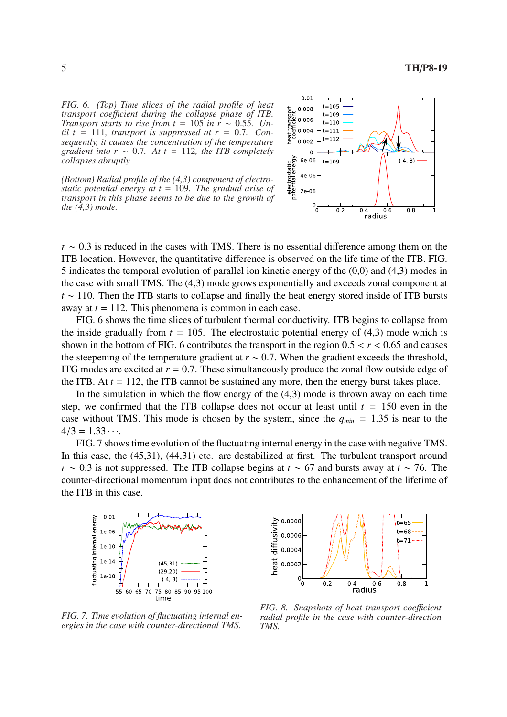*FIG. 6. (Top) Time slices of the radial profile of heat transport coe*ffi*cient during the collapse phase of ITB. Transport starts to rise from t* = 105 *in r*  $\sim$  0.55*. Un* $til t = 111$ *, transport is suppressed at r* = 0.7*. Consequently, it causes the concentration of the temperature gradient into r*  $\sim$  0.7*.* At  $t = 112$ *, the ITB completely collapses abruptly.*

*(Bottom) Radial profile of the (4,3) component of electrostatic potential energy at t* = 109*. The gradual arise of transport in this phase seems to be due to the growth of the (4,3) mode.*



*r* ∼ 0.3 is reduced in the cases with TMS. There is no essential difference among them on the ITB location. However, the quantitative difference is observed on the life time of the ITB. FIG. 5 indicates the temporal evolution of parallel ion kinetic energy of the (0,0) and (4,3) modes in the case with small TMS. The (4,3) mode grows exponentially and exceeds zonal component at *t* ∼ 110. Then the ITB starts to collapse and finally the heat energy stored inside of ITB bursts away at *t* = 112. This phenomena is common in each case.

FIG. 6 shows the time slices of turbulent thermal conductivity. ITB begins to collapse from the inside gradually from  $t = 105$ . The electrostatic potential energy of  $(4,3)$  mode which is shown in the bottom of FIG. 6 contributes the transport in the region  $0.5 < r < 0.65$  and causes the steepening of the temperature gradient at  $r \sim 0.7$ . When the gradient exceeds the threshold, ITG modes are excited at  $r = 0.7$ . These simultaneously produce the zonal flow outside edge of the ITB. At  $t = 112$ , the ITB cannot be sustained any more, then the energy burst takes place.

In the simulation in which the flow energy of the (4,3) mode is thrown away on each time step, we confirmed that the ITB collapse does not occur at least until  $t = 150$  even in the case without TMS. This mode is chosen by the system, since the  $q_{min} = 1.35$  is near to the  $4/3 = 1.33 \cdots$ 

FIG. 7 shows time evolution of the fluctuating internal energy in the case with negative TMS. In this case, the  $(45,31)$ ,  $(44,31)$  etc. are destabilized at first. The turbulent transport around *r* ∼ 0.3 is not suppressed. The ITB collapse begins at *t* ∼ 67 and bursts away at *t* ∼ 76. The counter-directional momentum input does not contributes to the enhancement of the lifetime of the ITB in this case.





*FIG. 7. Time evolution of fluctuating internal energies in the case with counter-directional TMS.*

*FIG. 8. Snapshots of heat transport coefficient radial profile in the case with counter-direction TMS.*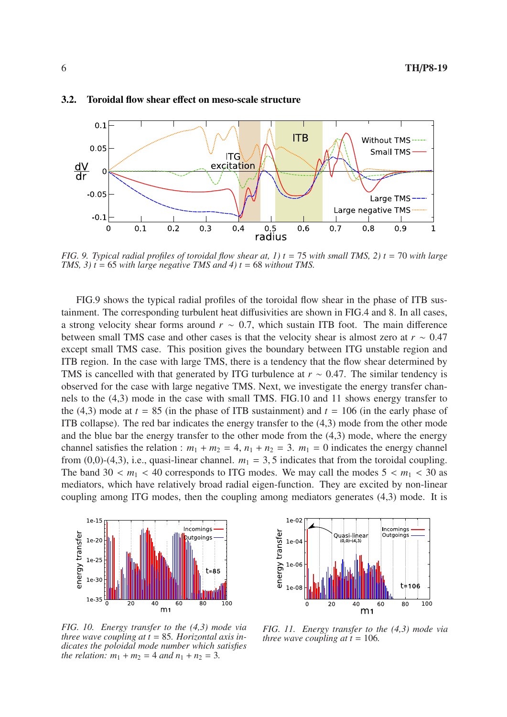

## 3.2. Toroidal flow shear effect on meso-scale structure

*FIG.* 9. *Typical radial profiles of toroidal flow shear at, 1)*  $t = 75$  *with small TMS, 2)*  $t = 70$  *with large TMS, 3)*  $t = 65$  *with large negative TMS and 4)*  $t = 68$  *without TMS.* 

FIG.9 shows the typical radial profiles of the toroidal flow shear in the phase of ITB sustainment. The corresponding turbulent heat diffusivities are shown in FIG.4 and 8. In all cases, a strong velocity shear forms around *r* ∼ 0.7, which sustain ITB foot. The main difference between small TMS case and other cases is that the velocity shear is almost zero at *r* ∼ 0.47 except small TMS case. This position gives the boundary between ITG unstable region and ITB region. In the case with large TMS, there is a tendency that the flow shear determined by TMS is cancelled with that generated by ITG turbulence at *r* ∼ 0.47. The similar tendency is observed for the case with large negative TMS. Next, we investigate the energy transfer channels to the (4,3) mode in the case with small TMS. FIG.10 and 11 shows energy transfer to the (4,3) mode at  $t = 85$  (in the phase of ITB sustainment) and  $t = 106$  (in the early phase of ITB collapse). The red bar indicates the energy transfer to the (4,3) mode from the other mode and the blue bar the energy transfer to the other mode from the (4,3) mode, where the energy channel satisfies the relation :  $m_1 + m_2 = 4$ ,  $n_1 + n_2 = 3$ .  $m_1 = 0$  indicates the energy channel from  $(0,0)$ -(4,3), i.e., quasi-linear channel.  $m_1 = 3, 5$  indicates that from the toroidal coupling. The band  $30 < m_1 < 40$  corresponds to ITG modes. We may call the modes  $5 < m_1 < 30$  as mediators, which have relatively broad radial eigen-function. They are excited by non-linear coupling among ITG modes, then the coupling among mediators generates (4,3) mode. It is



*FIG. 10. Energy transfer to the (4,3) mode via three wave coupling at t* = 85*. Horizontal axis indicates the poloidal mode number which satisfies the relation:*  $m_1 + m_2 = 4$  *and*  $n_1 + n_2 = 3$ .



*FIG. 11. Energy transfer to the (4,3) mode via three wave coupling at*  $t = 106$ *.*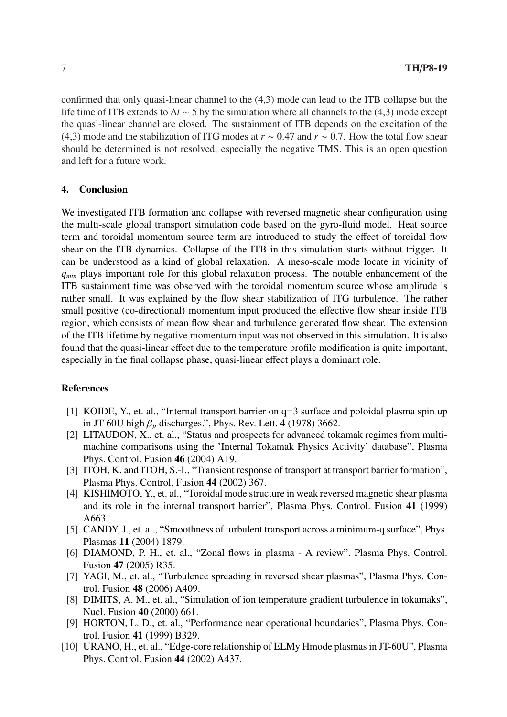confirmed that only quasi-linear channel to the (4,3) mode can lead to the ITB collapse but the life time of ITB extends to ∆*t* ∼ 5 by the simulation where all channels to the (4,3) mode except the quasi-linear channel are closed. The sustainment of ITB depends on the excitation of the (4,3) mode and the stabilization of ITG modes at *r* ∼ 0.47 and *r* ∼ 0.7. How the total flow shear should be determined is not resolved, especially the negative TMS. This is an open question and left for a future work.

## 4. Conclusion

We investigated ITB formation and collapse with reversed magnetic shear configuration using the multi-scale global transport simulation code based on the gyro-fluid model. Heat source term and toroidal momentum source term are introduced to study the effect of toroidal flow shear on the ITB dynamics. Collapse of the ITB in this simulation starts without trigger. It can be understood as a kind of global relaxation. A meso-scale mode locate in vicinity of *q*<sub>min</sub> plays important role for this global relaxation process. The notable enhancement of the ITB sustainment time was observed with the toroidal momentum source whose amplitude is rather small. It was explained by the flow shear stabilization of ITG turbulence. The rather small positive (co-directional) momentum input produced the effective flow shear inside ITB region, which consists of mean flow shear and turbulence generated flow shear. The extension of the ITB lifetime by negative momentum input was not observed in this simulation. It is also found that the quasi-linear effect due to the temperature profile modification is quite important, especially in the final collapse phase, quasi-linear effect plays a dominant role.

## References

- [1] KOIDE, Y., et. al., "Internal transport barrier on q=3 surface and poloidal plasma spin up in JT-60U high  $\beta_p$  discharges.", Phys. Rev. Lett. 4 (1978) 3662.
- [2] LITAUDON, X., et. al., "Status and prospects for advanced tokamak regimes from multimachine comparisons using the 'Internal Tokamak Physics Activity' database", Plasma Phys. Control. Fusion 46 (2004) A19.
- [3] ITOH, K. and ITOH, S.-I., "Transient response of transport at transport barrier formation", Plasma Phys. Control. Fusion 44 (2002) 367.
- [4] KISHIMOTO, Y., et. al., "Toroidal mode structure in weak reversed magnetic shear plasma and its role in the internal transport barrier", Plasma Phys. Control. Fusion 41 (1999) A663.
- [5] CANDY, J., et. al., "Smoothness of turbulent transport across a minimum-q surface", Phys. Plasmas 11 (2004) 1879.
- [6] DIAMOND, P. H., et. al., "Zonal flows in plasma A review". Plasma Phys. Control. Fusion 47 (2005) R35.
- [7] YAGI, M., et. al., "Turbulence spreading in reversed shear plasmas", Plasma Phys. Control. Fusion 48 (2006) A409.
- [8] DIMITS, A. M., et. al., "Simulation of ion temperature gradient turbulence in tokamaks", Nucl. Fusion 40 (2000) 661.
- [9] HORTON, L. D., et. al., "Performance near operational boundaries", Plasma Phys. Control. Fusion 41 (1999) B329.
- [10] URANO, H., et. al., "Edge-core relationship of ELMy Hmode plasmas in JT-60U", Plasma Phys. Control. Fusion 44 (2002) A437.